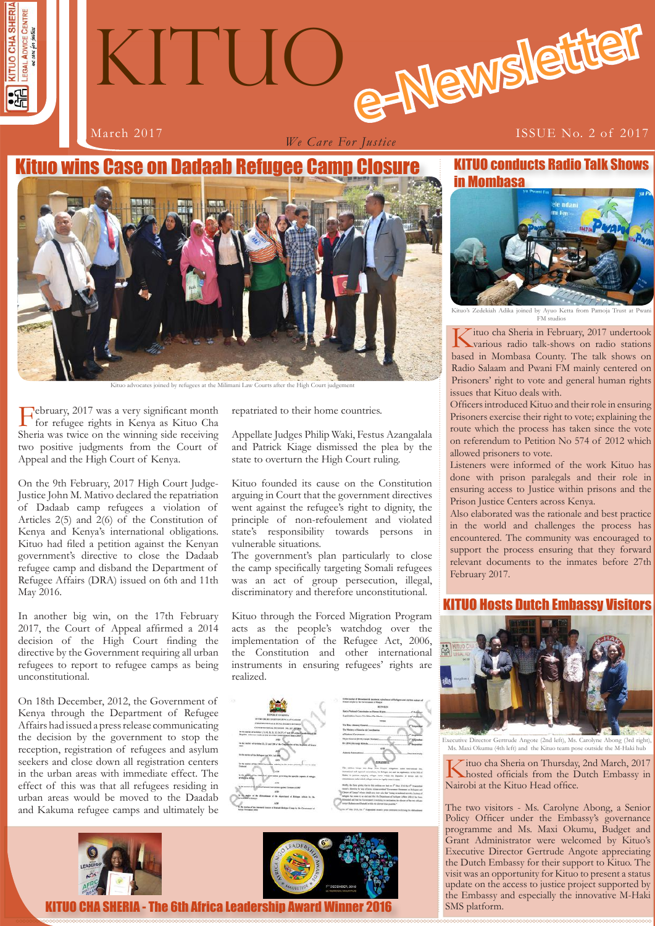

# e-Newslette KITUO

*We Care For Justice*

#### March 2017 **ISSUE No. 2 of 2017**

## tuo wins Case on Dadaab Refugee Camp Closure



Kituo advocates joined by refugees at the Milimani Law

February, 2017 was a very significant month for refugee rights in Kenya as Kituo Cha Sheria was twice on the winning side receiving two positive judgments from the Court of Appeal and the High Court of Kenya.

On the 9th February, 2017 High Court Judge-Justice John M. Mativo declared the repatriation of Dadaab camp refugees a violation of Articles 2(5) and 2(6) of the Constitution of Kenya and Kenya's international obligations. Kituo had filed a petition against the Kenyan government's directive to close the Dadaab refugee camp and disband the Department of Refugee Affairs (DRA) issued on 6th and 11th May 2016.

In another big win, on the 17th February 2017, the Court of Appeal affirmed a 2014 decision of the High Court finding the directive by the Government requiring all urban refugees to report to refugee camps as being unconstitutional.

On 18th December, 2012, the Government of Kenya through the Department of Refugee Affairs had issued a press release communicating the decision by the government to stop the reception, registration of refugees and asylum seekers and close down all registration centers in the urban areas with immediate effect. The effect of this was that all refugees residing in urban areas would be moved to the Daadab and Kakuma refugee camps and ultimately be



repatriated to their home countries.

Appellate Judges Philip Waki, Festus Azangalala and Patrick Kiage dismissed the plea by the state to overturn the High Court ruling.

Kituo founded its cause on the Constitution arguing in Court that the government directives went against the refugee's right to dignity, the principle of non-refoulement and violated state's responsibility towards persons in vulnerable situations.

The government's plan particularly to close the camp specifically targeting Somali refugees was an act of group persecution, illegal, discriminatory and therefore unconstitutional.

Kituo through the Forced Migration Program acts as the people's watchdog over the implementation of the Refugee Act, 2006, the Constitution and other international instruments in ensuring refugees' rights are realized.





KITUO CHA SHERIA - The 6th Africa Leadership Award Winner 2016



oined by Ayuo Ketta from Pamoja FM studios

Kituo cha Sheria in February, 2017 undertook various radio talk-shows on radio stations based in Mombasa County. The talk shows on Radio Salaam and Pwani FM mainly centered on Prisoners' right to vote and general human rights issues that Kituo deals with.

Officers introduced Kituo and their role in ensuring Prisoners exercise their right to vote; explaining the route which the process has taken since the vote on referendum to Petition No 574 of 2012 which allowed prisoners to vote.

Listeners were informed of the work Kituo has done with prison paralegals and their role in ensuring access to Justice within prisons and the Prison Justice Centers across Kenya.

Also elaborated was the rationale and best practice in the world and challenges the process has encountered. The community was encouraged to support the process ensuring that they forward relevant documents to the inmates before 27th February 2017.

#### Ists Dutch Embassy Visitors



ector Gertrude Angote (2nd left), Ms. Carolyne Ms. Maxi Okumu (4th left) and the Kituo team pose outside the M-Haki hub

Kituo cha Sheria on Thursday, 2nd March, 2017 hosted officials from the Dutch Embassy in Nairobi at the Kituo Head office.

**1 1** the Embassy and especially the innovative M-Haki The two visitors - Ms. Carolyne Abong, a Senior Policy Officer under the Embassy's governance programme and Ms. Maxi Okumu, Budget and Grant Administrator were welcomed by Kituo's Executive Director Gertrude Angote appreciating the Dutch Embassy for their support to Kituo. The visit was an opportunity for Kituo to present a status update on the access to justice project supported by SMS platform.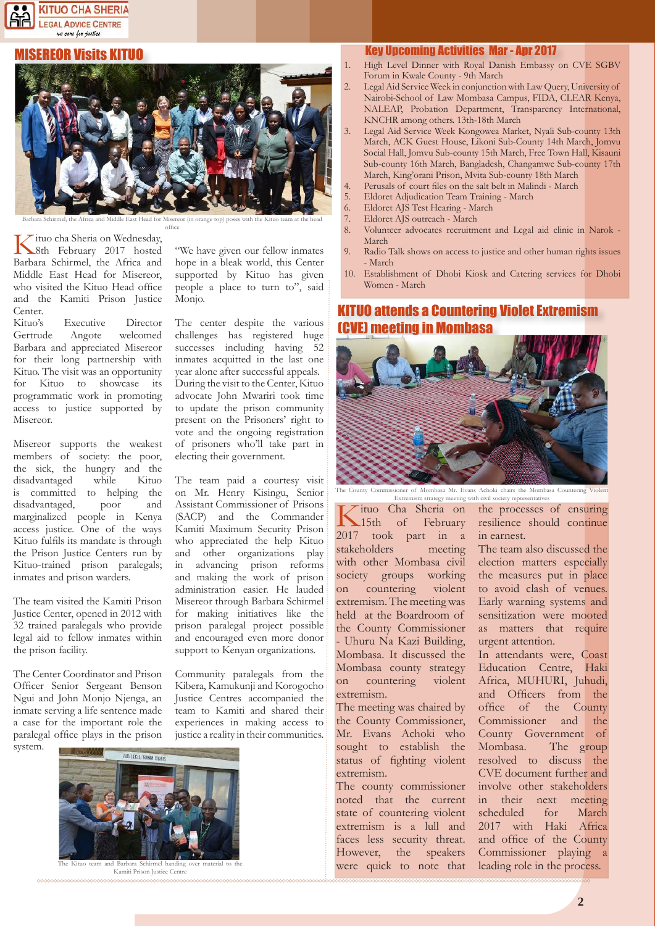#### KITUO CHA SHERIA **LEGAL ADVICE CENTRE** we care for justice

#### SEREOR Visits KITUO



Barbara Schirmel, the Africa and Middle East Head for Misereor (in orange top) poses with the Kituo team at the head office

Kituo cha Sheria on Wednesday, 8th February 2017 hosted Barbara Schirmel, the Africa and Middle East Head for Misereor, who visited the Kituo Head office and the Kamiti Prison Justice Center.

Kituo's Executive Director Gertrude Angote welcomed Barbara and appreciated Misereor for their long partnership with Kituo. The visit was an opportunity for Kituo to showcase its programmatic work in promoting access to justice supported by Misereor.

Misereor supports the weakest members of society: the poor, the sick, the hungry and the disadvantaged while Kituo is committed to helping the disadvantaged, poor and marginalized people in Kenya access justice. One of the ways Kituo fulfils its mandate is through the Prison Justice Centers run by Kituo-trained prison paralegals; inmates and prison warders.

The team visited the Kamiti Prison Justice Center, opened in 2012 with 32 trained paralegals who provide legal aid to fellow inmates within the prison facility.

The Center Coordinator and Prison Officer Senior Sergeant Benson Ngui and John Monjo Njenga, an inmate serving a life sentence made a case for the important role the paralegal office plays in the prison system.

"We have given our fellow inmates hope in a bleak world, this Center supported by Kituo has given people a place to turn to", said Monjo.

The center despite the various challenges has registered huge successes including having 52 inmates acquitted in the last one year alone after successful appeals. During the visit to the Center, Kituo advocate John Mwariri took time to update the prison community present on the Prisoners' right to vote and the ongoing registration of prisoners who'll take part in electing their government.

The team paid a courtesy visit on Mr. Henry Kisingu, Senior Assistant Commissioner of Prisons (SACP) and the Commander Kamiti Maximum Security Prison who appreciated the help Kituo and other organizations play in advancing prison reforms and making the work of prison administration easier. He lauded Misereor through Barbara Schirmel for making initiatives like the prison paralegal project possible and encouraged even more donor support to Kenyan organizations.

Community paralegals from the Kibera, Kamukunji and Korogocho Justice Centres accompanied the team to Kamiti and shared their experiences in making access to justice a reality in their communities.



Kituo team and Barbara Schirmel handing over Kamiti Prison Justice Centre

#### Key Upcoming Activities Mar - Apr 2017

- 1. High Level Dinner with Royal Danish Embassy on CVE SGBV Forum in Kwale County - 9th March
- Legal Aid Service Week in conjunction with Law Query, University of Nairobi-School of Law Mombasa Campus, FIDA, CLEAR Kenya, NALEAP, Probation Department, Transparency International, KNCHR among others. 13th-18th March
- 3. Legal Aid Service Week Kongowea Market, Nyali Sub-county 13th March, ACK Guest House, Likoni Sub-County 14th March, Jomvu Social Hall, Jomvu Sub-county 15th March, Free Town Hall, Kisauni Sub-county 16th March, Bangladesh, Changamwe Sub-county 17th March, King'orani Prison, Mvita Sub-county 18th March
- 4. Perusals of court files on the salt belt in Malindi March<br>5. Eldoret Adjudication Team Training March
- 5. Eldoret Adjudication Team Training March
- 6. Eldoret AJS Test Hearing March
- 7. Eldoret AJS outreach March
- Volunteer advocates recruitment and Legal aid clinic in Narok -March
- 9. Radio Talk shows on access to justice and other human rights issues - March
- 10. Establishment of Dhobi Kiosk and Catering services for Dhobi Women - March

#### KITUO attends a Countering Violet Extremism (CVE) meeting in Mombasa



er of Mombasa Mr. Evans Achoki chairs the Mombasa Countering Viol Extremism strategy meeting with civil society representatives

Tituo Cha Sheria on<br>15th of February February 2017 took part in a stakeholders meeting with other Mombasa civil society groups working on countering violent extremism. The meeting was held at the Boardroom of the County Commissioner - Uhuru Na Kazi Building, Mombasa. It discussed the Mombasa county strategy on countering violent extremism.

The meeting was chaired by the County Commissioner, Mr. Evans Achoki who sought to establish the status of fighting violent extremism.

The county commissioner noted that the current state of countering violent extremism is a lull and faces less security threat. However, the speakers were quick to note that

the processes of ensuring resilience should continue in earnest.

The team also discussed the election matters especially the measures put in place to avoid clash of venues. Early warning systems and sensitization were mooted as matters that require urgent attention.

In attendants were, Coast Education Centre, Haki Africa, MUHURI, Juhudi, and Officers from the office of the County Commissioner and the County Government of Mombasa. The group resolved to discuss the CVE document further and involve other stakeholders in their next meeting scheduled for March 2017 with Haki Africa and office of the County Commissioner playing a leading role in the process.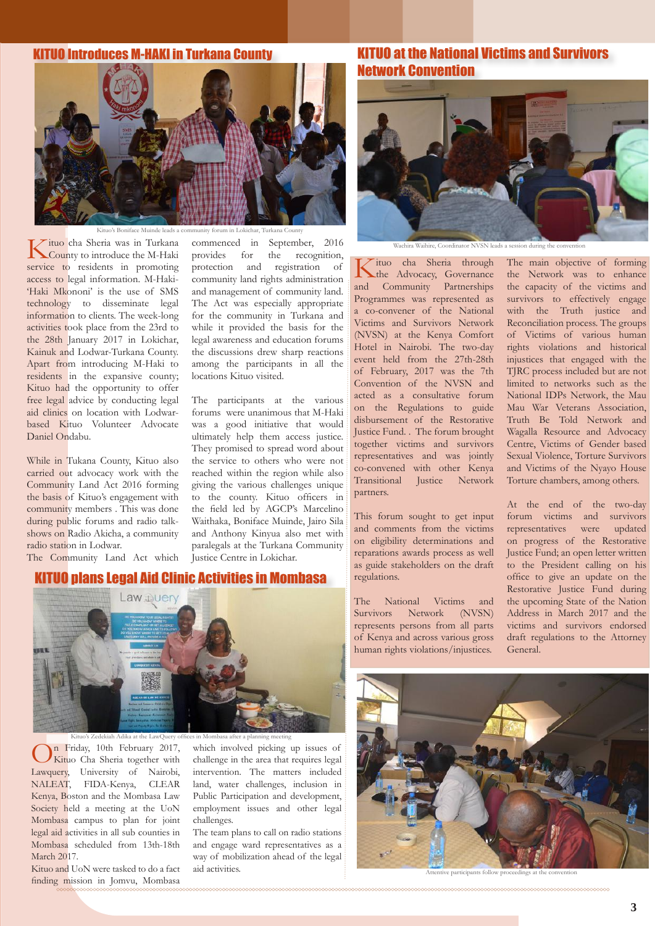#### KITUO Introduces M-HAKI in Turkana County



iface Muinde leads a community forum in Lokichar. '

Kituo cha Sheria was in Turkana County to introduce the M-Haki service to residents in promoting access to legal information. M-Haki- 'Haki Mkononi' is the use of SMS technology to disseminate legal information to clients. The week-long activities took place from the 23rd to the 28th January 2017 in Lokichar, Kainuk and Lodwar-Turkana County. Apart from introducing M-Haki to residents in the expansive county; Kituo had the opportunity to offer free legal advice by conducting legal aid clinics on location with Lodwarbased Kituo Volunteer Advocate Daniel Ondabu.

While in Tukana County, Kituo also carried out advocacy work with the Community Land Act 2016 forming the basis of Kituo's engagement with community members . This was done during public forums and radio talkshows on Radio Akicha, a community radio station in Lodwar.

The Community Land Act which

#### KITUO plans Legal Aid Clinic Activities in Mombasa

#### commenced in September, 2016 provides for the recognition, protection and registration of community land rights administration and management of community land. The Act was especially appropriate for the community in Turkana and while it provided the basis for the legal awareness and education forums the discussions drew sharp reactions among the participants in all the locations Kituo visited.

The participants at the various forums were unanimous that M-Haki was a good initiative that would ultimately help them access justice. They promised to spread word about the service to others who were not reached within the region while also giving the various challenges unique to the county. Kituo officers in the field led by AGCP's Marcelino Waithaka, Boniface Muinde, Jairo Sila and Anthony Kinyua also met with paralegals at the Turkana Community Justice Centre in Lokichar.

#### KITUO at the National Victims and Survivors Network Convention



re, Coordinator NVSN leads a

Kituo cha Sheria through<br>
the Advocacy, Governance and Community Partnerships Programmes was represented as a co-convener of the National Victims and Survivors Network (NVSN) at the Kenya Comfort Hotel in Nairobi. The two-day event held from the 27th-28th of February, 2017 was the 7th Convention of the NVSN and acted as a consultative forum on the Regulations to guide disbursement of the Restorative Justice Fund. . The forum brought together victims and survivors representatives and was jointly co-convened with other Kenya Transitional Justice Network partners.

This forum sought to get input and comments from the victims on eligibility determinations and reparations awards process as well as guide stakeholders on the draft regulations.

The National Victims and Survivors Network (NVSN) represents persons from all parts of Kenya and across various gross human rights violations/injustices.

The main objective of forming the Network was to enhance the capacity of the victims and survivors to effectively engage with the Truth justice and Reconciliation process. The groups of Victims of various human rights violations and historical injustices that engaged with the TJRC process included but are not limited to networks such as the National IDPs Network, the Mau Mau War Veterans Association, Truth Be Told Network and Wagalla Resource and Advocacy Centre, Victims of Gender based Sexual Violence, Torture Survivors and Victims of the Nyayo House Torture chambers, among others.

At the end of the two-day forum victims and survivors representatives were updated on progress of the Restorative Justice Fund; an open letter written to the President calling on his office to give an update on the Restorative Justice Fund during the upcoming State of the Nation Address in March 2017 and the victims and survivors endorsed draft regulations to the Attorney General.



On Friday, 10th February 2017, Kituo Cha Sheria together with Lawquery, University of Nairobi, NALEAT, FIDA-Kenya, CLEAR Kenya, Boston and the Mombasa Law Society held a meeting at the UoN Mombasa campus to plan for joint legal aid activities in all sub counties in Mombasa scheduled from 13th-18th March 2017

Kituo and UoN were tasked to do a fact finding mission in Jomvu, Mombasa

which involved picking up issues of challenge in the area that requires legal intervention. The matters included land, water challenges, inclusion in Public Participation and development, employment issues and other legal challenges.

The team plans to call on radio stations and engage ward representatives as a way of mobilization ahead of the legal aid activities.



articipants follow proceedings at the convention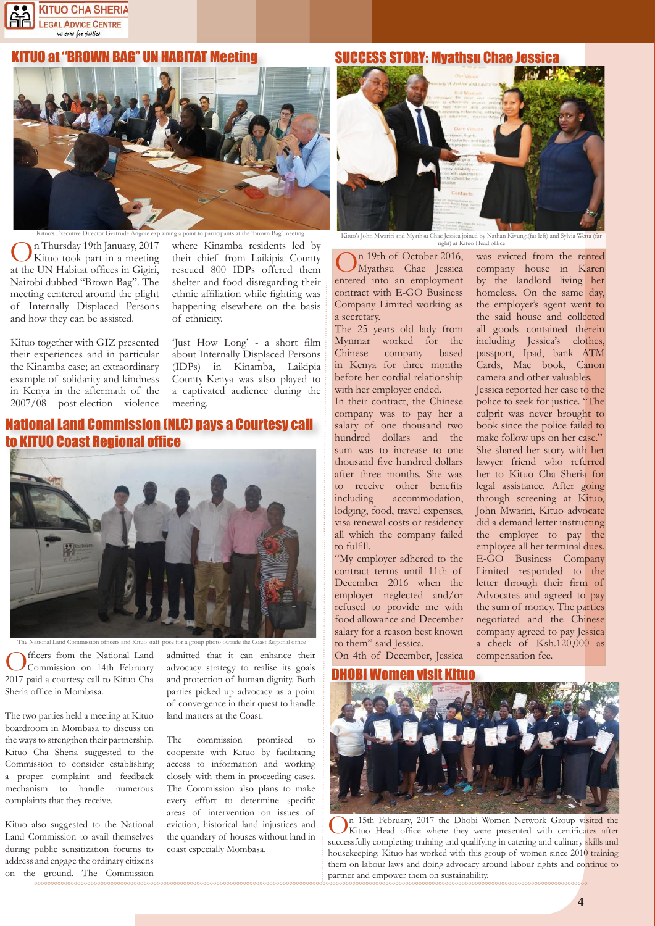

#### IO at "BROWN BAG" UN HABITAT Meeting



On Thursday 19th January, 2017 Kituo took part in a meeting at the UN Habitat offices in Gigiri, Nairobi dubbed "Brown Bag". The meeting centered around the plight of Internally Displaced Persons and how they can be assisted.

where Kinamba residents led by their chief from Laikipia County rescued 800 IDPs offered them shelter and food disregarding their ethnic affiliation while fighting was happening elsewhere on the basis of ethnicity.

Kituo together with GIZ presented their experiences and in particular the Kinamba case; an extraordinary example of solidarity and kindness in Kenya in the aftermath of the 2007/08 post-election violence

'Just How Long' - a short film about Internally Displaced Persons (IDPs) in Kinamba, Laikipia County-Kenya was also played to a captivated audience during the meeting.

#### National Land Commission (NLC) pays a Courtesy call **tha Coast Regional office**



The National Land Commission officers and Kituo staff pose for a group photo outside the Coa

fficers from the National Land Commission on 14th February 2017 paid a courtesy call to Kituo Cha Sheria office in Mombasa.

The two parties held a meeting at Kituo boardroom in Mombasa to discuss on the ways to strengthen their partnership. Kituo Cha Sheria suggested to the Commission to consider establishing a proper complaint and feedback mechanism to handle numerous complaints that they receive.

Kituo also suggested to the National Land Commission to avail themselves during public sensitization forums to address and engage the ordinary citizens on the ground. The Commission

admitted that it can enhance their advocacy strategy to realise its goals and protection of human dignity. Both parties picked up advocacy as a point of convergence in their quest to handle land matters at the Coast.

The commission promised to cooperate with Kituo by facilitating access to information and working closely with them in proceeding cases. The Commission also plans to make every effort to determine specific areas of intervention on issues of eviction; historical land injustices and the quandary of houses without land in coast especially Mombasa.

### SUCCESS STORY: Myathsu Chae Jessica



Kituo's John Mwariri and Myathsu Chae Jessica joined by Nathan Kivungi(far left) and Sylvia right) at Kituo Head office

In 19th of October 2016, Myathsu Chae Jessica entered into an employment contract with E-GO Business Company Limited working as a secretary.

The 25 years old lady from Mynmar worked for the Chinese company based in Kenya for three months before her cordial relationship with her employer ended.

In their contract, the Chinese company was to pay her a salary of one thousand two hundred dollars and the sum was to increase to one thousand five hundred dollars after three months. She was to receive other benefits including accommodation, lodging, food, travel expenses, visa renewal costs or residency all which the company failed to fulfill.

"My employer adhered to the contract terms until 11th of December 2016 when the employer neglected and/or refused to provide me with food allowance and December salary for a reason best known to them" said Jessica.

On 4th of December, Jessica

was evicted from the rented company house in Karen by the landlord living her homeless. On the same day, the employer's agent went to the said house and collected all goods contained therein including Jessica's clothes, passport, Ipad, bank ATM Cards, Mac book, Canon camera and other valuables. Jessica reported her case to the police to seek for justice. "The culprit was never brought to book since the police failed to make follow ups on her case." She shared her story with her lawyer friend who referred her to Kituo Cha Sheria for legal assistance. After going through screening at Kituo, John Mwariri, Kituo advocate did a demand letter instructing the employer to pay the employee all her terminal dues. E-GO Business Company Limited responded to the letter through their firm of Advocates and agreed to pay the sum of money. The parties negotiated and the Chinese company agreed to pay Jessica a check of Ksh.120,000 as compensation fee.



On 15th February, 2017 the Dhobi Women Network Group visited the Kituo Head office where they were presented with certificates after successfully completing training and qualifying in catering and culinary skills and housekeeping. Kituo has worked with this group of women since 2010 training them on labour laws and doing advocacy around labour rights and continue to partner and empower them on sustainability.

**4**